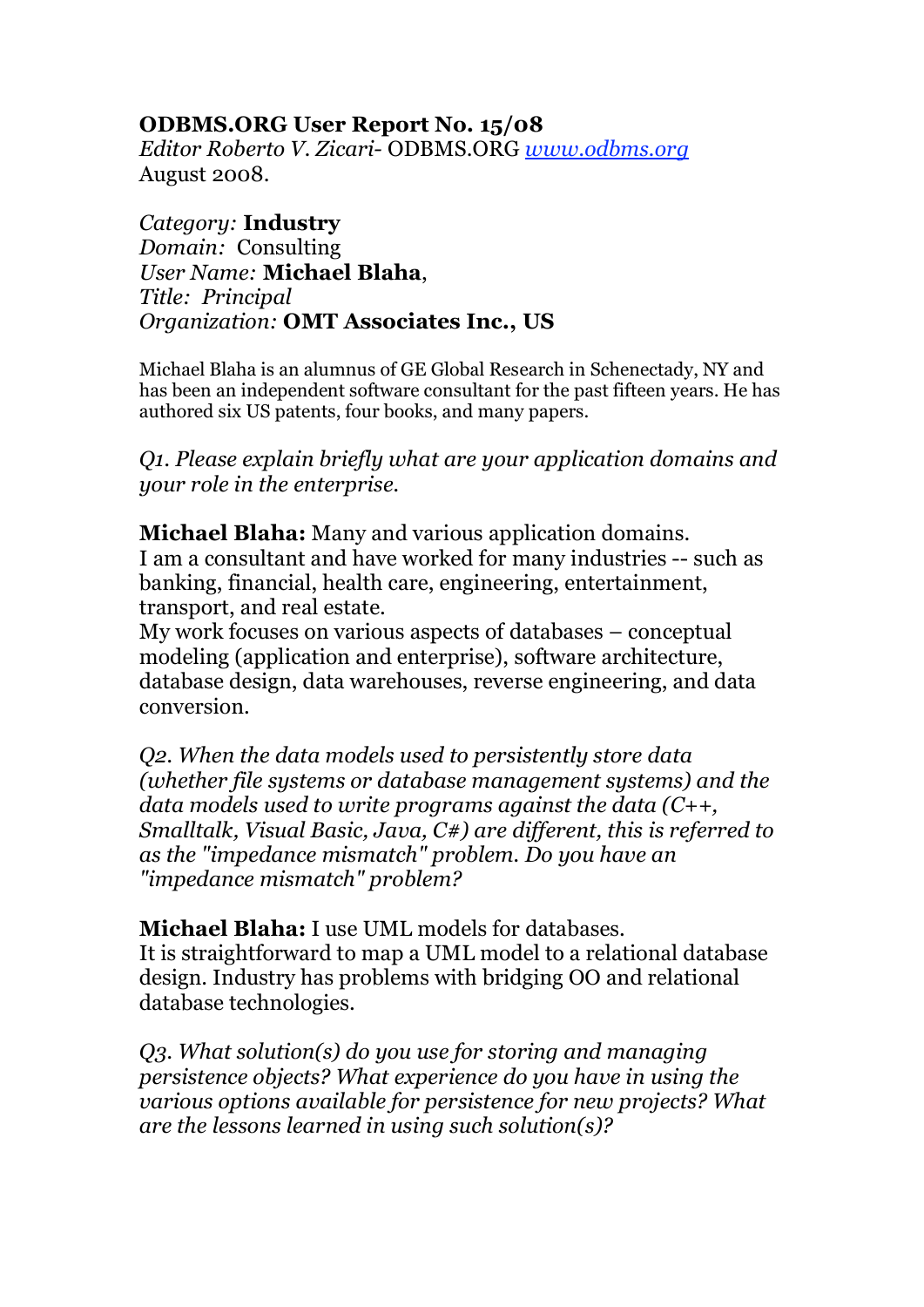## **ODBMS.ORG User Report No. 15/08**

*Editor Roberto V. Zicari-* ODBMS.ORG *www.odbms.org* August 2008.

*Category:* **Industry** *Domain:* Consulting *User Name:* **Michael Blaha**, *Title: Principal Organization:* **OMT Associates Inc., US**

Michael Blaha is an alumnus of GE Global Research in Schenectady, NY and has been an independent software consultant for the past fifteen years. He has authored six US patents, four books, and many papers.

*Q1. Please explain briefly what are your application domains and your role in the enterprise.*

**Michael Blaha:** Many and various application domains. I am a consultant and have worked for many industries -- such as banking, financial, health care, engineering, entertainment, transport, and real estate.

My work focuses on various aspects of databases – conceptual modeling (application and enterprise), software architecture, database design, data warehouses, reverse engineering, and data conversion.

*Q2. When the data models used to persistently store data (whether file systems or database management systems) and the data models used to write programs against the data (C++, Smalltalk, Visual Basic, Java, C#) are different, this is referred to as the "impedance mismatch" problem. Do you have an "impedance mismatch" problem?*

**Michael Blaha:** I use UML models for databases. It is straightforward to map a UML model to a relational database design. Industry has problems with bridging OO and relational database technologies.

*Q3. What solution(s) do you use for storing and managing persistence objects? What experience do you have in using the various options available for persistence for new projects? What are the lessons learned in using such solution(s)?*